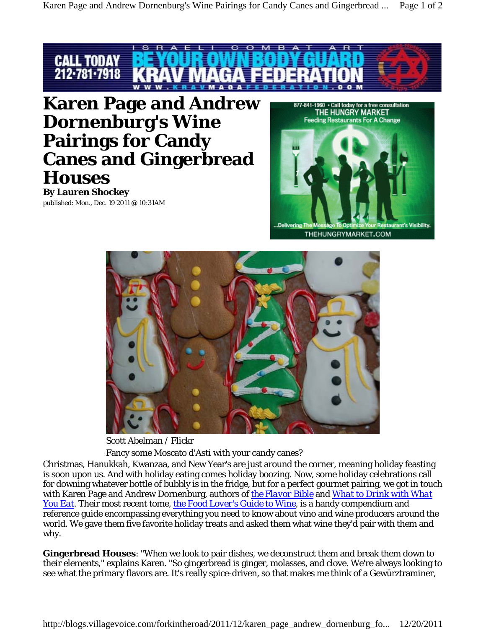

**Karen Page and Andrew Dornenburg's Wine Pairings for Candy Canes and Gingerbread Houses By Lauren Shockey**

published: Mon., Dec. 19 2011 @ 10:31AM





Scott Abelman / Flickr

Fancy some Moscato d'Asti with your candy canes?

Christmas, Hanukkah, Kwanzaa, and New Year's are just around the corner, meaning holiday feasting is soon upon us. And with holiday eating comes holiday boozing. Now, some holiday celebrations call for downing whatever bottle of bubbly is in the fridge, but for a perfect gourmet pairing, we got in touch with Karen Page and Andrew Dornenburg, authors of *the Flavor Bible* and *What to Drink with What You Eat*. Their most recent tome, *the Food Lover's Guide to Wine*, is a handy compendium and reference guide encompassing everything you need to know about vino and wine producers around the world. We gave them five favorite holiday treats and asked them what wine they'd pair with them and why.

**Gingerbread Houses**: "When we look to pair dishes, we deconstruct them and break them down to their elements," explains Karen. "So gingerbread is ginger, molasses, and clove. We're always looking to see what the primary flavors are. It's really spice-driven, so that makes me think of a Gewürztraminer,